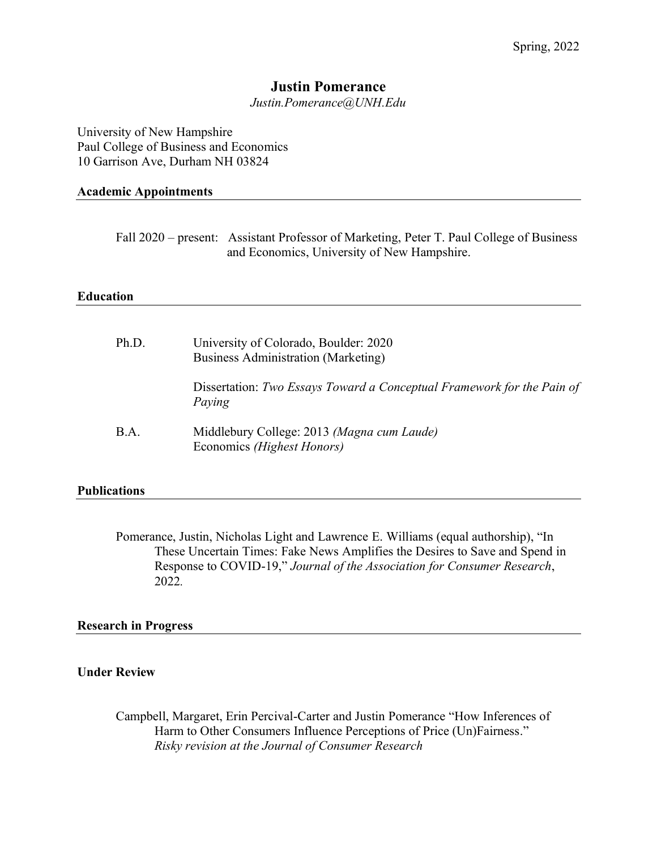# **Justin Pomerance**

*Justin.Pomerance@UNH.Edu*

University of New Hampshire Paul College of Business and Economics 10 Garrison Ave, Durham NH 03824

# **Academic Appointments**

Fall 2020 – present: Assistant Professor of Marketing, Peter T. Paul College of Business and Economics, University of New Hampshire.

# **Education**

| Ph.D. | University of Colorado, Boulder: 2020<br><b>Business Administration (Marketing)</b> |
|-------|-------------------------------------------------------------------------------------|
|       | Dissertation: Two Essays Toward a Conceptual Framework for the Pain of<br>Paying    |
| B.A.  | Middlebury College: 2013 (Magna cum Laude)<br>Economics (Highest Honors)            |

# **Publications**

Pomerance, Justin, Nicholas Light and Lawrence E. Williams (equal authorship), "In These Uncertain Times: Fake News Amplifies the Desires to Save and Spend in Response to COVID-19," *Journal of the Association for Consumer Research*, 2022*.*

# **Research in Progress**

# **Under Review**

Campbell, Margaret, Erin Percival-Carter and Justin Pomerance "How Inferences of Harm to Other Consumers Influence Perceptions of Price (Un)Fairness." *Risky revision at the Journal of Consumer Research*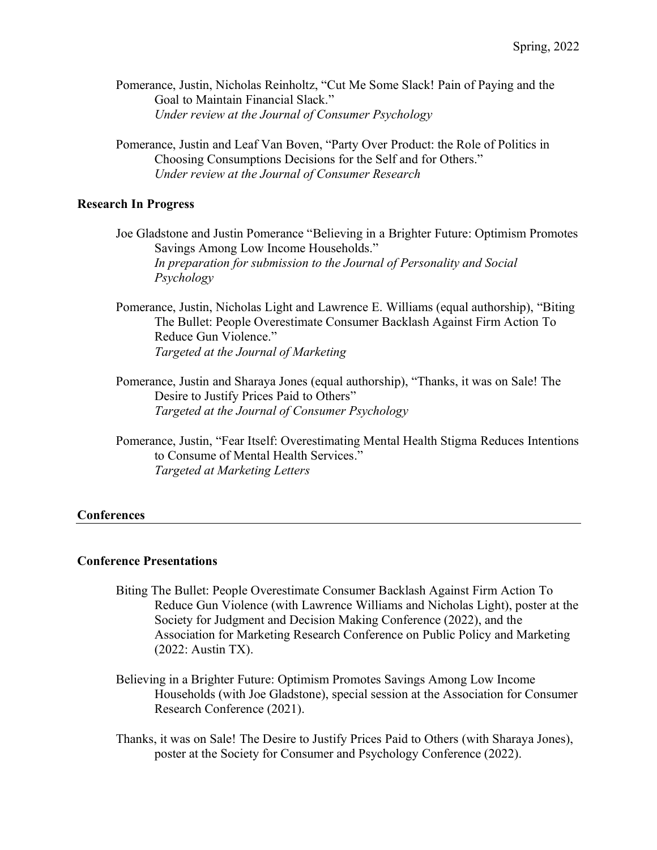- Pomerance, Justin, Nicholas Reinholtz, "Cut Me Some Slack! Pain of Paying and the Goal to Maintain Financial Slack." *Under review at the Journal of Consumer Psychology*
- Pomerance, Justin and Leaf Van Boven, "Party Over Product: the Role of Politics in Choosing Consumptions Decisions for the Self and for Others." *Under review at the Journal of Consumer Research*

### **Research In Progress**

- Joe Gladstone and Justin Pomerance "Believing in a Brighter Future: Optimism Promotes Savings Among Low Income Households." *In preparation for submission to the Journal of Personality and Social Psychology*
- Pomerance, Justin, Nicholas Light and Lawrence E. Williams (equal authorship), "Biting The Bullet: People Overestimate Consumer Backlash Against Firm Action To Reduce Gun Violence." *Targeted at the Journal of Marketing*
- Pomerance, Justin and Sharaya Jones (equal authorship), "Thanks, it was on Sale! The Desire to Justify Prices Paid to Others" *Targeted at the Journal of Consumer Psychology*
- Pomerance, Justin, "Fear Itself: Overestimating Mental Health Stigma Reduces Intentions to Consume of Mental Health Services." *Targeted at Marketing Letters*

#### **Conferences**

#### **Conference Presentations**

- Biting The Bullet: People Overestimate Consumer Backlash Against Firm Action To Reduce Gun Violence (with Lawrence Williams and Nicholas Light), poster at the Society for Judgment and Decision Making Conference (2022), and the Association for Marketing Research Conference on Public Policy and Marketing (2022: Austin TX).
- Believing in a Brighter Future: Optimism Promotes Savings Among Low Income Households (with Joe Gladstone), special session at the Association for Consumer Research Conference (2021).
- Thanks, it was on Sale! The Desire to Justify Prices Paid to Others (with Sharaya Jones), poster at the Society for Consumer and Psychology Conference (2022).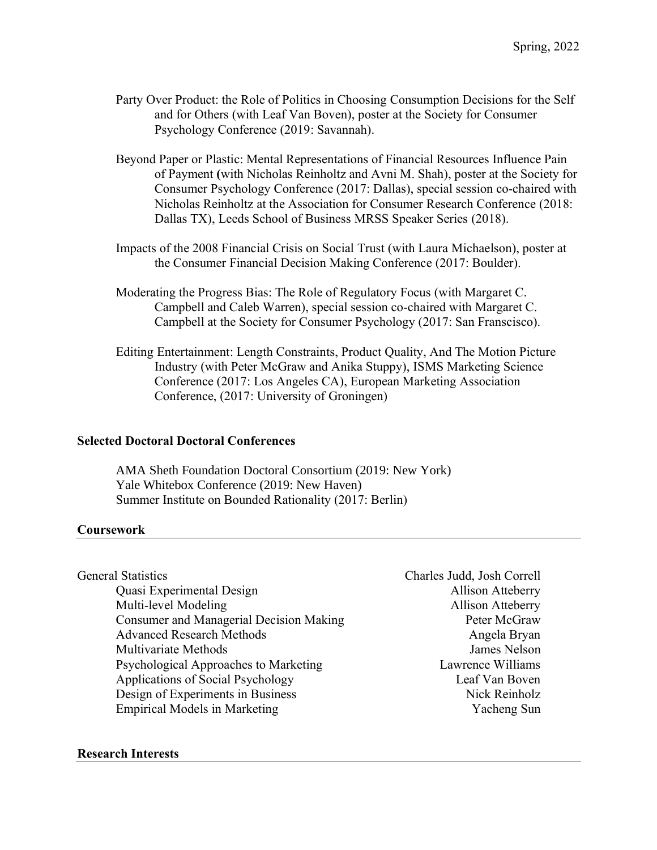- Party Over Product: the Role of Politics in Choosing Consumption Decisions for the Self and for Others (with Leaf Van Boven), poster at the Society for Consumer Psychology Conference (2019: Savannah).
- Beyond Paper or Plastic: Mental Representations of Financial Resources Influence Pain of Payment **(**with Nicholas Reinholtz and Avni M. Shah), poster at the Society for Consumer Psychology Conference (2017: Dallas), special session co-chaired with Nicholas Reinholtz at the Association for Consumer Research Conference (2018: Dallas TX), Leeds School of Business MRSS Speaker Series (2018).
- Impacts of the 2008 Financial Crisis on Social Trust (with Laura Michaelson), poster at the Consumer Financial Decision Making Conference (2017: Boulder).
- Moderating the Progress Bias: The Role of Regulatory Focus (with Margaret C. Campbell and Caleb Warren), special session co-chaired with Margaret C. Campbell at the Society for Consumer Psychology (2017: San Franscisco).
- Editing Entertainment: Length Constraints, Product Quality, And The Motion Picture Industry (with Peter McGraw and Anika Stuppy), ISMS Marketing Science Conference (2017: Los Angeles CA), European Marketing Association Conference, (2017: University of Groningen)

# **Selected Doctoral Doctoral Conferences**

AMA Sheth Foundation Doctoral Consortium (2019: New York) Yale Whitebox Conference (2019: New Haven) Summer Institute on Bounded Rationality (2017: Berlin)

# **Coursework**

| <b>General Statistics</b>                      | Charles Judd, Josh Correll |
|------------------------------------------------|----------------------------|
| Quasi Experimental Design                      | <b>Allison Atteberry</b>   |
| Multi-level Modeling                           | <b>Allison Atteberry</b>   |
| <b>Consumer and Managerial Decision Making</b> | Peter McGraw               |
| <b>Advanced Research Methods</b>               | Angela Bryan               |
| <b>Multivariate Methods</b>                    | James Nelson               |
| Psychological Approaches to Marketing          | Lawrence Williams          |
| Applications of Social Psychology              | Leaf Van Boven             |
| Design of Experiments in Business              | Nick Reinholz              |
| <b>Empirical Models in Marketing</b>           | Yacheng Sun                |

# **Research Interests**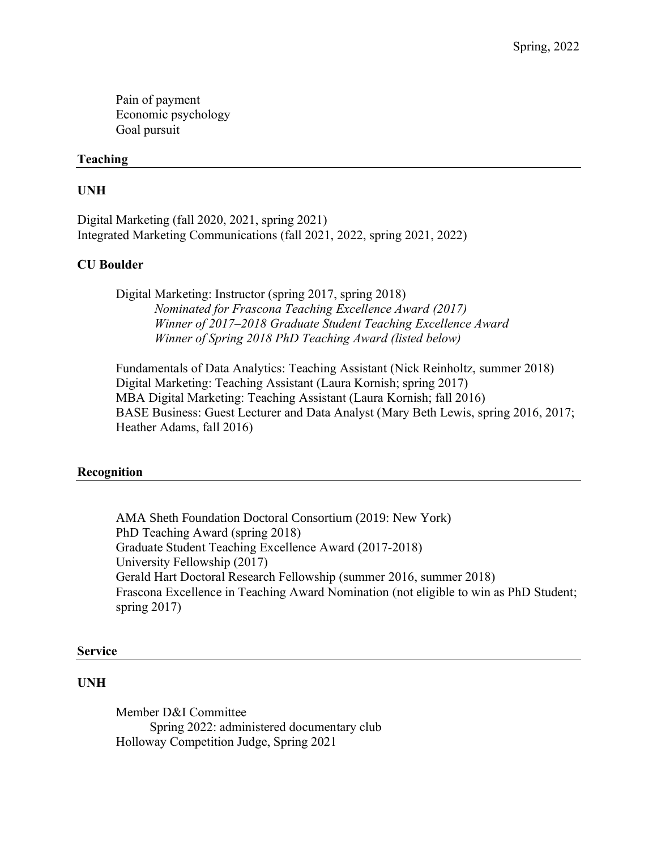Pain of payment Economic psychology Goal pursuit

# **Teaching**

# **UNH**

Digital Marketing (fall 2020, 2021, spring 2021) Integrated Marketing Communications (fall 2021, 2022, spring 2021, 2022)

### **CU Boulder**

Digital Marketing: Instructor (spring 2017, spring 2018) *Nominated for Frascona Teaching Excellence Award (2017) Winner of 2017–2018 Graduate Student Teaching Excellence Award Winner of Spring 2018 PhD Teaching Award (listed below)*

Fundamentals of Data Analytics: Teaching Assistant (Nick Reinholtz, summer 2018) Digital Marketing: Teaching Assistant (Laura Kornish; spring 2017) MBA Digital Marketing: Teaching Assistant (Laura Kornish; fall 2016) BASE Business: Guest Lecturer and Data Analyst (Mary Beth Lewis, spring 2016, 2017; Heather Adams, fall 2016)

### **Recognition**

AMA Sheth Foundation Doctoral Consortium (2019: New York) PhD Teaching Award (spring 2018) Graduate Student Teaching Excellence Award (2017-2018) University Fellowship (2017) Gerald Hart Doctoral Research Fellowship (summer 2016, summer 2018) Frascona Excellence in Teaching Award Nomination (not eligible to win as PhD Student; spring 2017)

#### **Service**

#### **UNH**

Member D&I Committee Spring 2022: administered documentary club Holloway Competition Judge, Spring 2021